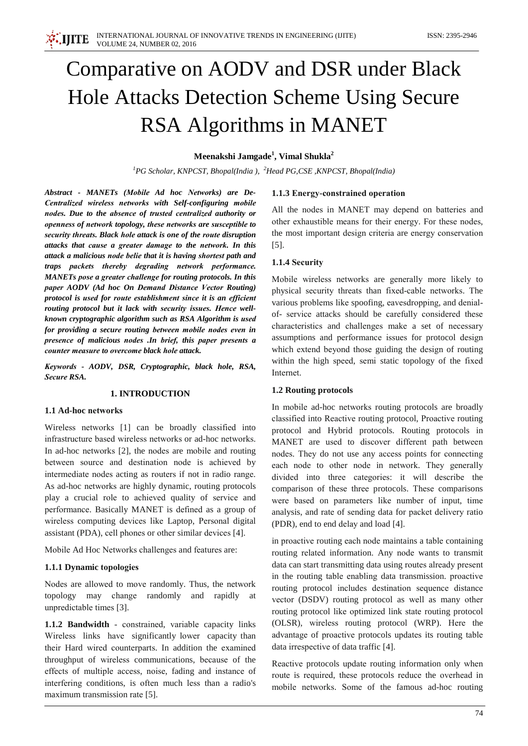# Comparative on AODV and DSR under Black **Hole Attacks Detection Scheme Using Secure RSA Algorithms in MANET**

## Meenakshi Jamgade<sup>1</sup>, Vimal Shukla<sup>2</sup>

<sup>1</sup>PG Scholar, KNPCST, Bhopal(India), <sup>2</sup>Head PG, CSE, KNPCST, Bhopal(India)

Abstract - MANETs (Mobile Ad hoc Networks) are De-Centralized wireless networks with Self-configuring mobile nodes. Due to the absence of trusted centralized authority or openness of network topology, these networks are susceptible to security threats. Black hole attack is one of the route disruption attacks that cause a greater damage to the network. In this attack a malicious node belie that it is having shortest path and traps packets thereby degrading network performance. MANETs pose a greater challenge for routing protocols. In this paper AODV (Ad hoc On Demand Distance Vector Routing) protocol is used for route establishment since it is an efficient routing protocol but it lack with security issues. Hence wellknown cryptographic algorithm such as RSA Algorithm is used for providing a secure routing between mobile nodes even in presence of malicious nodes .In brief, this paper presents a counter measure to overcome black hole attack.

Keywords - AODV, DSR, Cryptographic, black hole, RSA, Secure RSA.

#### **1. INTRODUCTION**

#### 1.1 Ad-hoc networks

Wireless networks [1] can be broadly classified into infrastructure based wireless networks or ad-hoc networks. In ad-hoc networks [2], the nodes are mobile and routing between source and destination node is achieved by intermediate nodes acting as routers if not in radio range. As ad-hoc networks are highly dynamic, routing protocols play a crucial role to achieved quality of service and performance. Basically MANET is defined as a group of wireless computing devices like Laptop, Personal digital assistant (PDA), cell phones or other similar devices [4].

Mobile Ad Hoc Networks challenges and features are:

#### 1.1.1 Dynamic topologies

Nodes are allowed to move randomly. Thus, the network topology may change randomly and rapidly at unpredictable times [3].

1.1.2 Bandwidth - constrained, variable capacity links Wireless links have significantly lower capacity than their Hard wired counterparts. In addition the examined throughput of wireless communications, because of the effects of multiple access, noise, fading and instance of interfering conditions, is often much less than a radio's maximum transmission rate [5].

#### 1.1.3 Energy-constrained operation

All the nodes in MANET may depend on batteries and other exhaustible means for their energy. For these nodes, the most important design criteria are energy conservation  $\lceil 5 \rceil$ .

#### 1.1.4 Security

Mobile wireless networks are generally more likely to physical security threats than fixed-cable networks. The various problems like spoofing, eavesdropping, and denialof- service attacks should be carefully considered these characteristics and challenges make a set of necessary assumptions and performance issues for protocol design which extend beyond those guiding the design of routing within the high speed, semi static topology of the fixed Internet.

#### 1.2 Routing protocols

In mobile ad-hoc networks routing protocols are broadly classified into Reactive routing protocol, Proactive routing protocol and Hybrid protocols. Routing protocols in MANET are used to discover different path between nodes. They do not use any access points for connecting each node to other node in network. They generally divided into three categories: it will describe the comparison of these three protocols. These comparisons were based on parameters like number of input, time analysis, and rate of sending data for packet delivery ratio (PDR), end to end delay and load [4].

in proactive routing each node maintains a table containing routing related information. Any node wants to transmit data can start transmitting data using routes already present in the routing table enabling data transmission. proactive routing protocol includes destination sequence distance vector (DSDV) routing protocol as well as many other routing protocol like optimized link state routing protocol (OLSR), wireless routing protocol (WRP). Here the advantage of proactive protocols updates its routing table data irrespective of data traffic [4].

Reactive protocols update routing information only when route is required, these protocols reduce the overhead in mobile networks. Some of the famous ad-hoc routing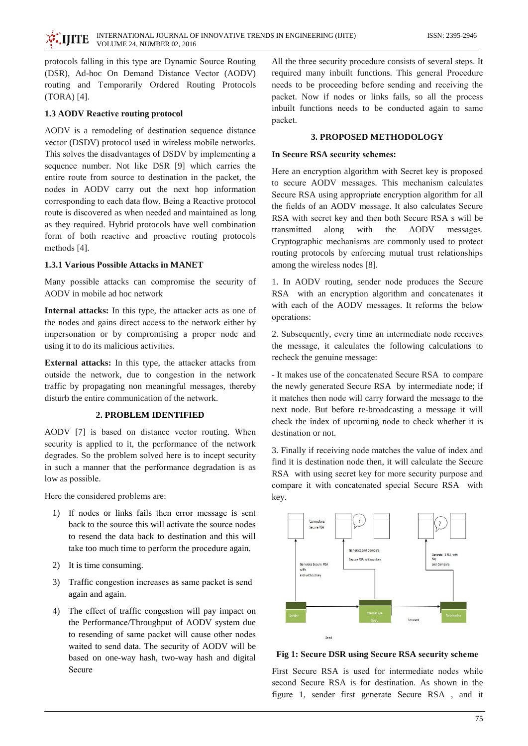protocols falling in this type are Dynamic Source Routing (DSR), Ad-hoc On Demand Distance Vector (AODV) routing and Temporarily Ordered Routing Protocols  $(TORA)$  [4].

## **1.3 AODV Reactive routing protocol**

AODV is a remodeling of destination sequence distance vector (DSDV) protocol used in wireless mobile networks. This solves the disadvantages of DSDV by implementing a sequence number. Not like DSR [9] which carries the entire route from source to destination in the packet, the nodes in AODV carry out the next hop information corresponding to each data flow. Being a Reactive protocol route is discovered as when needed and maintained as long as they required. Hybrid protocols have well combination form of both reactive and proactive routing protocols methods  $[4]$ .

## **1.3.1 Various Possible Attacks in MANET**

Many possible attacks can compromise the security of AODV in mobile ad hoc network

Internal attacks: In this type, the attacker acts as one of the nodes and gains direct access to the network either by impersonation or by compromising a proper node and using it to do its malicious activities.

External attacks: In this type, the attacker attacks from outside the network, due to congestion in the network traffic by propagating non meaningful messages, thereby disturb the entire communication of the network.

## 2. PROBLEM IDENTIFIED

AODV [7] is based on distance vector routing. When security is applied to it, the performance of the network degrades. So the problem solved here is to incept security in such a manner that the performance degradation is as low as possible.

Here the considered problems are:

- 1) If nodes or links fails then error message is sent back to the source this will activate the source nodes to resend the data back to destination and this will take too much time to perform the procedure again.
- 2) It is time consuming.
- 3) Traffic congestion increases as same packet is send again and again.
- 4) The effect of traffic congestion will pay impact on the Performance/Throughput of AODV system due to resending of same packet will cause other nodes waited to send data. The security of AODV will be based on one-way hash, two-way hash and digital Secure

All the three security procedure consists of several steps. It required many inbuilt functions. This general Procedure needs to be proceeding before sending and receiving the packet. Now if nodes or links fails, so all the process inbuilt functions needs to be conducted again to same packet.

## **3. PROPOSED METHODOLOGY**

#### In Secure RSA security schemes:

Here an encryption algorithm with Secret key is proposed to secure AODV messages. This mechanism calculates Secure RSA using appropriate encryption algorithm for all the fields of an AODV message. It also calculates Secure RSA with secret key and then both Secure RSA s will be with the **AODV** transmitted along messages. Cryptographic mechanisms are commonly used to protect routing protocols by enforcing mutual trust relationships among the wireless nodes [8].

1. In AODV routing, sender node produces the Secure RSA with an encryption algorithm and concatenates it with each of the AODV messages. It reforms the below operations:

2. Subsequently, every time an intermediate node receives the message, it calculates the following calculations to recheck the genuine message:

- It makes use of the concatenated Secure RSA to compare the newly generated Secure RSA by intermediate node; if it matches then node will carry forward the message to the next node. But before re-broadcasting a message it will check the index of upcoming node to check whether it is destination or not.

3. Finally if receiving node matches the value of index and find it is destination node then, it will calculate the Secure RSA with using secret key for more security purpose and compare it with concatenated special Secure RSA with key.



Fig 1: Secure DSR using Secure RSA security scheme

First Secure RSA is used for intermediate nodes while second Secure RSA is for destination. As shown in the figure 1, sender first generate Secure RSA, and it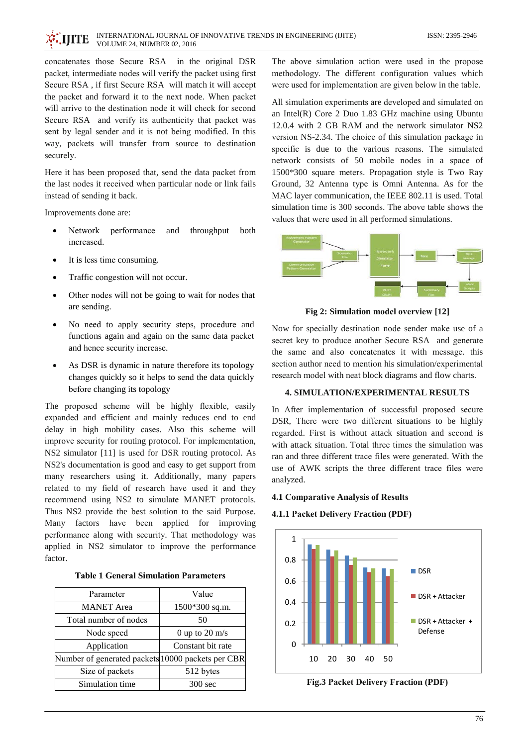

concatenates those Secure RSA in the original DSR packet, intermediate nodes will verify the packet using first Secure RSA, if first Secure RSA will match it will accept the packet and forward it to the next node. When packet will arrive to the destination node it will check for second Secure RSA and verify its authenticity that packet was sent by legal sender and it is not being modified. In this way, packets will transfer from source to destination securely.

Here it has been proposed that, send the data packet from the last nodes it received when particular node or link fails instead of sending it back.

Improvements done are:

- Network throughput  $\bullet$ performance and both increased
- It is less time consuming.
- Traffic congestion will not occur.  $\bullet$
- Other nodes will not be going to wait for nodes that  $\bullet$ are sending.
- $\bullet$ No need to apply security steps, procedure and functions again and again on the same data packet and hence security increase.
- As DSR is dynamic in nature therefore its topology changes quickly so it helps to send the data quickly before changing its topology

The proposed scheme will be highly flexible, easily expanded and efficient and mainly reduces end to end delay in high mobility cases. Also this scheme will improve security for routing protocol. For implementation, NS2 simulator [11] is used for DSR routing protocol. As NS2's documentation is good and easy to get support from many researchers using it. Additionally, many papers related to my field of research have used it and they recommend using NS2 to simulate MANET protocols. Thus NS2 provide the best solution to the said Purpose. Many factors have been applied for improving performance along with security. That methodology was applied in NS2 simulator to improve the performance factor.

| <b>Table 1 General Simulation Parameters</b> |
|----------------------------------------------|
|----------------------------------------------|

| Parameter                                         | Value             |
|---------------------------------------------------|-------------------|
| <b>MANET</b> Area                                 | 1500*300 sq.m.    |
| Total number of nodes                             | 50                |
| Node speed                                        | 0 up to 20 $m/s$  |
| Application                                       | Constant bit rate |
| Number of generated packets 10000 packets per CBR |                   |
| Size of packets                                   | 512 bytes         |
| Simulation time                                   | 300 sec           |

The above simulation action were used in the propose methodology. The different configuration values which were used for implementation are given below in the table.

All simulation experiments are developed and simulated on an Intel $(R)$  Core 2 Duo 1.83 GHz machine using Ubuntu 12.0.4 with 2 GB RAM and the network simulator NS2 version NS-2.34. The choice of this simulation package in specific is due to the various reasons. The simulated network consists of 50 mobile nodes in a space of 1500\*300 square meters. Propagation style is Two Ray Ground, 32 Antenna type is Omni Antenna. As for the MAC layer communication, the IEEE 802.11 is used. Total simulation time is 300 seconds. The above table shows the values that were used in all performed simulations.



Fig 2: Simulation model overview [12]

Now for specially destination node sender make use of a secret key to produce another Secure RSA and generate the same and also concatenates it with message, this section author need to mention his simulation/experimental research model with neat block diagrams and flow charts.

## **4. SIMULATION/EXPERIMENTAL RESULTS**

In After implementation of successful proposed secure DSR, There were two different situations to be highly regarded. First is without attack situation and second is with attack situation. Total three times the simulation was ran and three different trace files were generated. With the use of AWK scripts the three different trace files were analyzed.

## **4.1 Comparative Analysis of Results**

#### 4.1.1 Packet Delivery Fraction (PDF)



Fig.3 Packet Delivery Fraction (PDF)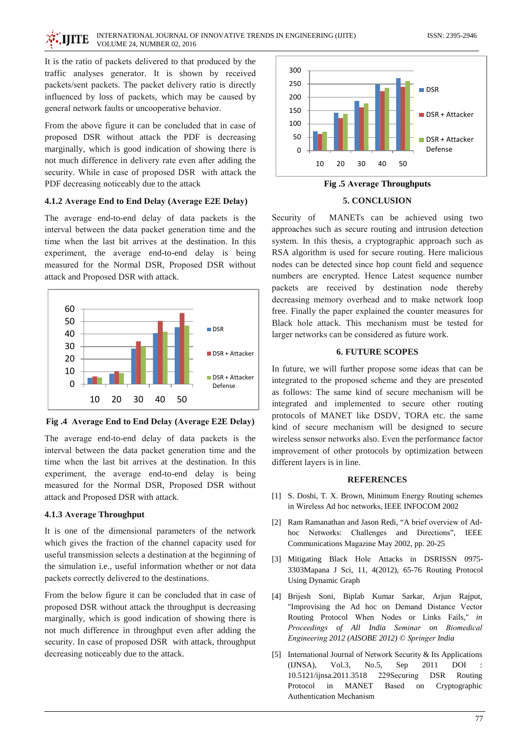It is the ratio of packets delivered to that produced by the traffic analyses generator. It is shown by received packets/sent packets. The packet delivery ratio is directly influenced by loss of packets, which may be caused by general network faults or uncooperative behavior.

From the above figure it can be concluded that in case of proposed DSR without attack the PDF is decreasing marginally, which is good indication of showing there is not much difference in delivery rate even after adding the security. While in case of proposed DSR with attack the PDF decreasing noticeably due to the attack

## 4.1.2 Average End to End Delay (Average E2E Delay)

The average end-to-end delay of data packets is the interval between the data packet generation time and the time when the last bit arrives at the destination. In this experiment, the average end-to-end delay is being measured for the Normal DSR, Proposed DSR without attack and Proposed DSR with attack.



Fig.4 Average End to End Delay (Average E2E Delay)

The average end-to-end delay of data packets is the interval between the data packet generation time and the time when the last bit arrives at the destination. In this experiment, the average end-to-end delay is being measured for the Normal DSR, Proposed DSR without attack and Proposed DSR with attack.

## 4.1.3 Average Throughput

It is one of the dimensional parameters of the network which gives the fraction of the channel capacity used for useful transmission selects a destination at the beginning of the simulation i.e., useful information whether or not data packets correctly delivered to the destinations.

From the below figure it can be concluded that in case of proposed DSR without attack the throughput is decreasing marginally, which is good indication of showing there is not much difference in throughput even after adding the security. In case of proposed DSR with attack, throughput decreasing noticeably due to the attack.



**Fig.5 Average Throughputs** 

#### 5. CONCLUSION

MANETs can be achieved using two Security of approaches such as secure routing and intrusion detection system. In this thesis, a cryptographic approach such as RSA algorithm is used for secure routing. Here malicious nodes can be detected since hop count field and sequence numbers are encrypted. Hence Latest sequence number packets are received by destination node thereby decreasing memory overhead and to make network loop free. Finally the paper explained the counter measures for Black hole attack. This mechanism must be tested for larger networks can be considered as future work.

#### **6. FUTURE SCOPES**

In future, we will further propose some ideas that can be integrated to the proposed scheme and they are presented as follows: The same kind of secure mechanism will be integrated and implemented to secure other routing protocols of MANET like DSDV, TORA etc. the same kind of secure mechanism will be designed to secure wireless sensor networks also. Even the performance factor improvement of other protocols by optimization between different layers is in line.

#### **REFERENCES**

- [1] S. Doshi, T. X. Brown, Minimum Energy Routing schemes in Wireless Ad hoc networks, IEEE INFOCOM 2002
- [2] Ram Ramanathan and Jason Redi, "A brief overview of Adhoc Networks: Challenges and Directions", IEEE Communications Magazine May 2002, pp. 20-25
- [3] Mitigating Black Hole Attacks in DSRISSN 0975-3303Mapana J Sci, 11, 4(2012), 65-76 Routing Protocol Using Dynamic Graph
- [4] Brijesh Soni, Biplab Kumar Sarkar, Arjun Rajput, "Improvising the Ad hoc on Demand Distance Vector Routing Protocol When Nodes or Links Fails." in Proceedings of All India Seminar on Biomedical Engineering 2012 (AISOBE 2012) © Springer India
- [5] International Journal of Network Security  $&$  Its Applications 2011 **DOI**  $(IJNSA)$ ,  $Vol.3$ , No.5, Sep 10.5121/ijnsa.2011.3518 229 Securing **DSR** Routing **MANET** Protocol  $\overline{\mathbf{m}}$ Based on Cryptographic **Authentication Mechanism**